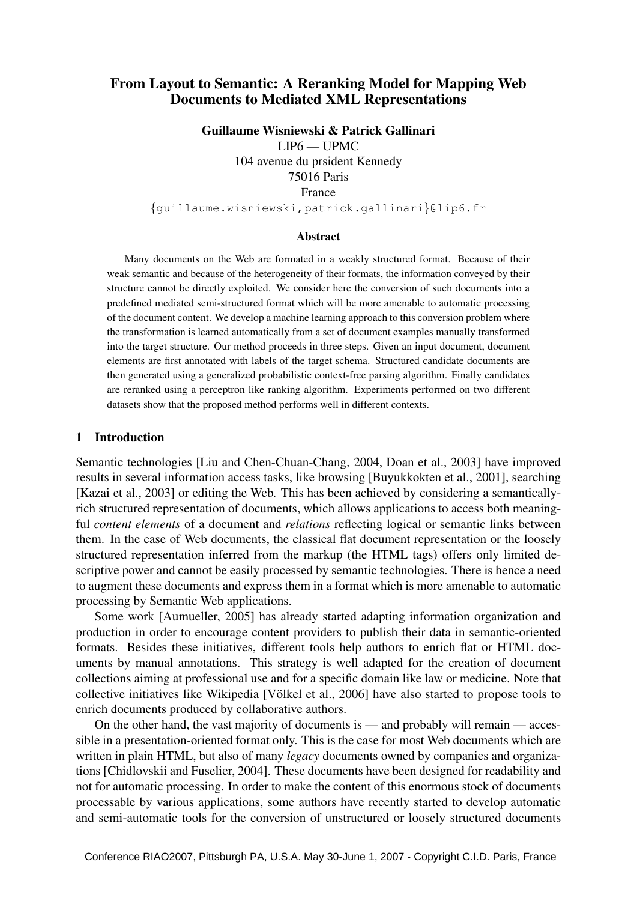# From Layout to Semantic: A Reranking Model for Mapping Web Documents to Mediated XML Representations

Guillaume Wisniewski & Patrick Gallinari LIP6 — UPMC 104 avenue du prsident Kennedy 75016 Paris France {guillaume.wisniewski,patrick.gallinari}@lip6.fr

#### Abstract

Many documents on the Web are formated in a weakly structured format. Because of their weak semantic and because of the heterogeneity of their formats, the information conveyed by their structure cannot be directly exploited. We consider here the conversion of such documents into a predefined mediated semi-structured format which will be more amenable to automatic processing of the document content. We develop a machine learning approach to this conversion problem where the transformation is learned automatically from a set of document examples manually transformed into the target structure. Our method proceeds in three steps. Given an input document, document elements are first annotated with labels of the target schema. Structured candidate documents are then generated using a generalized probabilistic context-free parsing algorithm. Finally candidates are reranked using a perceptron like ranking algorithm. Experiments performed on two different datasets show that the proposed method performs well in different contexts.

### 1 Introduction

Semantic technologies [Liu and Chen-Chuan-Chang, 2004, Doan et al., 2003] have improved results in several information access tasks, like browsing [Buyukkokten et al., 2001], searching [Kazai et al., 2003] or editing the Web. This has been achieved by considering a semanticallyrich structured representation of documents, which allows applications to access both meaningful *content elements* of a document and *relations* reflecting logical or semantic links between them. In the case of Web documents, the classical flat document representation or the loosely structured representation inferred from the markup (the HTML tags) offers only limited descriptive power and cannot be easily processed by semantic technologies. There is hence a need to augment these documents and express them in a format which is more amenable to automatic processing by Semantic Web applications.

Some work [Aumueller, 2005] has already started adapting information organization and production in order to encourage content providers to publish their data in semantic-oriented formats. Besides these initiatives, different tools help authors to enrich flat or HTML documents by manual annotations. This strategy is well adapted for the creation of document collections aiming at professional use and for a specific domain like law or medicine. Note that collective initiatives like Wikipedia [Völkel et al., 2006] have also started to propose tools to enrich documents produced by collaborative authors.

On the other hand, the vast majority of documents is — and probably will remain — accessible in a presentation-oriented format only. This is the case for most Web documents which are written in plain HTML, but also of many *legacy* documents owned by companies and organizations [Chidlovskii and Fuselier, 2004]. These documents have been designed for readability and not for automatic processing. In order to make the content of this enormous stock of documents processable by various applications, some authors have recently started to develop automatic and semi-automatic tools for the conversion of unstructured or loosely structured documents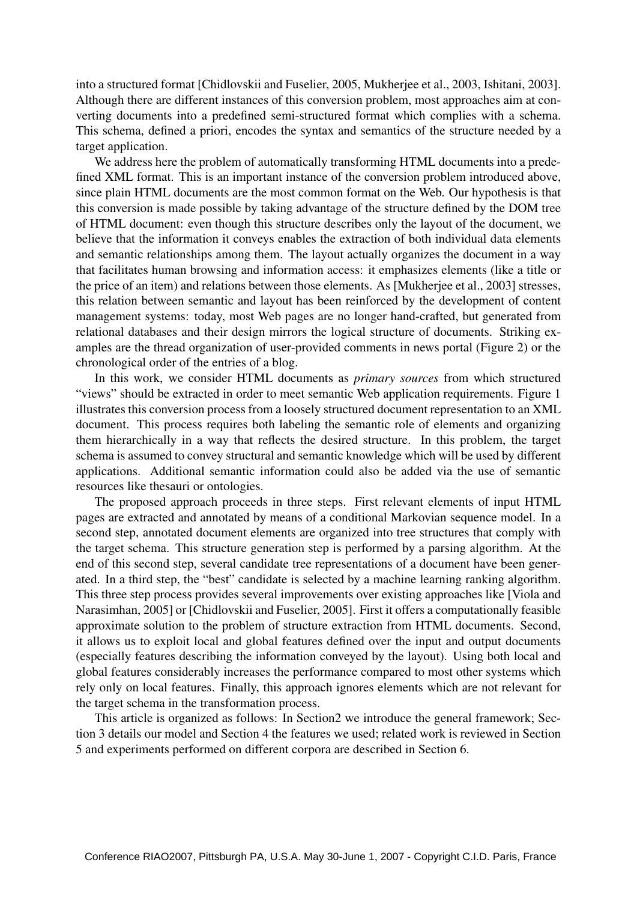into a structured format [Chidlovskii and Fuselier, 2005, Mukherjee et al., 2003, Ishitani, 2003]. Although there are different instances of this conversion problem, most approaches aim at converting documents into a predefined semi-structured format which complies with a schema. This schema, defined a priori, encodes the syntax and semantics of the structure needed by a target application.

We address here the problem of automatically transforming HTML documents into a predefined XML format. This is an important instance of the conversion problem introduced above, since plain HTML documents are the most common format on the Web. Our hypothesis is that this conversion is made possible by taking advantage of the structure defined by the DOM tree of HTML document: even though this structure describes only the layout of the document, we believe that the information it conveys enables the extraction of both individual data elements and semantic relationships among them. The layout actually organizes the document in a way that facilitates human browsing and information access: it emphasizes elements (like a title or the price of an item) and relations between those elements. As [Mukherjee et al., 2003] stresses, this relation between semantic and layout has been reinforced by the development of content management systems: today, most Web pages are no longer hand-crafted, but generated from relational databases and their design mirrors the logical structure of documents. Striking examples are the thread organization of user-provided comments in news portal (Figure 2) or the chronological order of the entries of a blog.

In this work, we consider HTML documents as *primary sources* from which structured "views" should be extracted in order to meet semantic Web application requirements. Figure 1 illustrates this conversion process from a loosely structured document representation to an XML document. This process requires both labeling the semantic role of elements and organizing them hierarchically in a way that reflects the desired structure. In this problem, the target schema is assumed to convey structural and semantic knowledge which will be used by different applications. Additional semantic information could also be added via the use of semantic resources like thesauri or ontologies.

The proposed approach proceeds in three steps. First relevant elements of input HTML pages are extracted and annotated by means of a conditional Markovian sequence model. In a second step, annotated document elements are organized into tree structures that comply with the target schema. This structure generation step is performed by a parsing algorithm. At the end of this second step, several candidate tree representations of a document have been generated. In a third step, the "best" candidate is selected by a machine learning ranking algorithm. This three step process provides several improvements over existing approaches like [Viola and Narasimhan, 2005] or [Chidlovskii and Fuselier, 2005]. First it offers a computationally feasible approximate solution to the problem of structure extraction from HTML documents. Second, it allows us to exploit local and global features defined over the input and output documents (especially features describing the information conveyed by the layout). Using both local and global features considerably increases the performance compared to most other systems which rely only on local features. Finally, this approach ignores elements which are not relevant for the target schema in the transformation process.

This article is organized as follows: In Section2 we introduce the general framework; Section 3 details our model and Section 4 the features we used; related work is reviewed in Section 5 and experiments performed on different corpora are described in Section 6.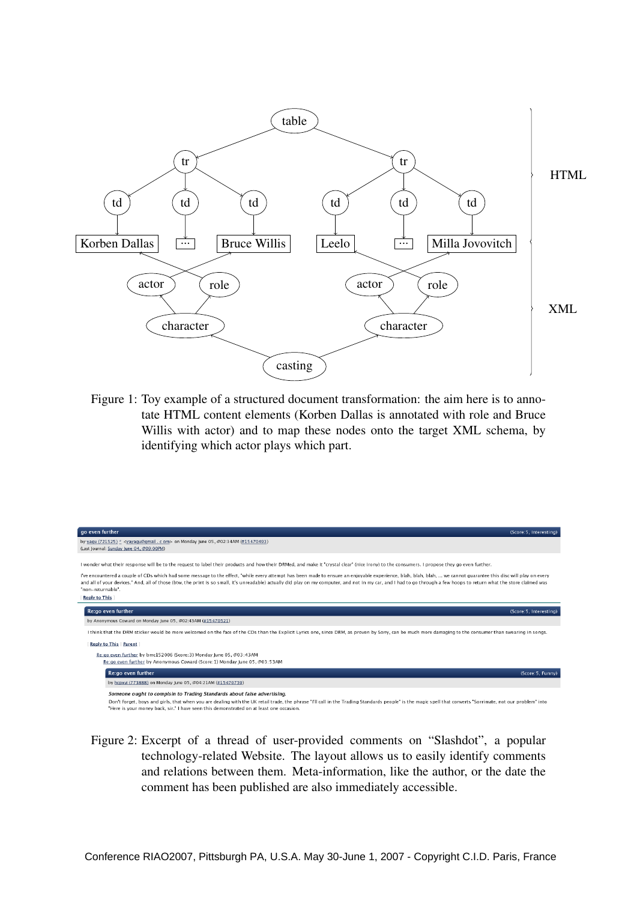

Figure 1: Toy example of a structured document transformation: the aim here is to annotate HTML content elements (Korben Dallas is annotated with role and Bruce Willis with actor) and to map these nodes onto the target XML schema, by identifying which actor plays which part.

| go even further<br>(Score: 5, Interesting)                                                                                                                                                                                                                                                                                                                                                                                                                                                                                                                                                                                                                            |
|-----------------------------------------------------------------------------------------------------------------------------------------------------------------------------------------------------------------------------------------------------------------------------------------------------------------------------------------------------------------------------------------------------------------------------------------------------------------------------------------------------------------------------------------------------------------------------------------------------------------------------------------------------------------------|
| by yaqu (721525) * < yayaqu@qmail . c om> on Monday June 05, @02:34AM (#15470493)<br>(Last Journal: Sunday June 04, @09:00PM)                                                                                                                                                                                                                                                                                                                                                                                                                                                                                                                                         |
| I wonder what their response will be to the request to label their products and how their DRMed, and make it "crystal clear" (nice irony) to the consumers. I propose they go even further,<br>I've encountered a couple of CDs which had some message to the effect, "while every attempt has been made to ensure an enjoyable experience, blah, blah, blah, blah,  we cannot quarantee this disc will play on every<br>and all of your devices." And, all of those (btw, the print is so small, it's unreadable) actually did play on my computer, and not in my car, and I had to go through a few hoops to return what the store claimed was<br>"non-returnable". |
| <b>Reply to This</b>                                                                                                                                                                                                                                                                                                                                                                                                                                                                                                                                                                                                                                                  |
| Re:go even further<br>(Score: 5, Interesting)                                                                                                                                                                                                                                                                                                                                                                                                                                                                                                                                                                                                                         |
| by Anonymous Coward on Monday June 05, @02:43AM (#15470521)                                                                                                                                                                                                                                                                                                                                                                                                                                                                                                                                                                                                           |
| I think that the DRM sticker would be more welcomed on the face of the CDs than the Explicit Lyrics one, since DRM, as proven by Sony, can be much more damaging to the consumer than swearing in songs.                                                                                                                                                                                                                                                                                                                                                                                                                                                              |
| <b>Reply to This Parent</b>                                                                                                                                                                                                                                                                                                                                                                                                                                                                                                                                                                                                                                           |
| Re:go even further by bmc152006 (Score: 3) Monday June 05, @03:43AM<br>Re:go even further by Anonymous Coward (Score: 1) Monday June 05, @03:53AM                                                                                                                                                                                                                                                                                                                                                                                                                                                                                                                     |
| Re:go even further<br>(Score: 5, Funny)                                                                                                                                                                                                                                                                                                                                                                                                                                                                                                                                                                                                                               |
| by hcpxvi (773888) on Monday June 05, @04:21AM (#15470739)                                                                                                                                                                                                                                                                                                                                                                                                                                                                                                                                                                                                            |
| Someone ought to complsin to Trading Standards about false advertising.<br>Don't forget, boys and girls, that when you are dealing with the UK retail trade, the phrase "I'll call in the Trading Standards people" is the magic spell that converts "Sorrimate, not our problem" into<br>"Here is your money back, sir," I have seen this demonstrated on at least one occasion.                                                                                                                                                                                                                                                                                     |

Figure 2: Excerpt of a thread of user-provided comments on "Slashdot", a popular technology-related Website. The layout allows us to easily identify comments and relations between them. Meta-information, like the author, or the date the comment has been published are also immediately accessible.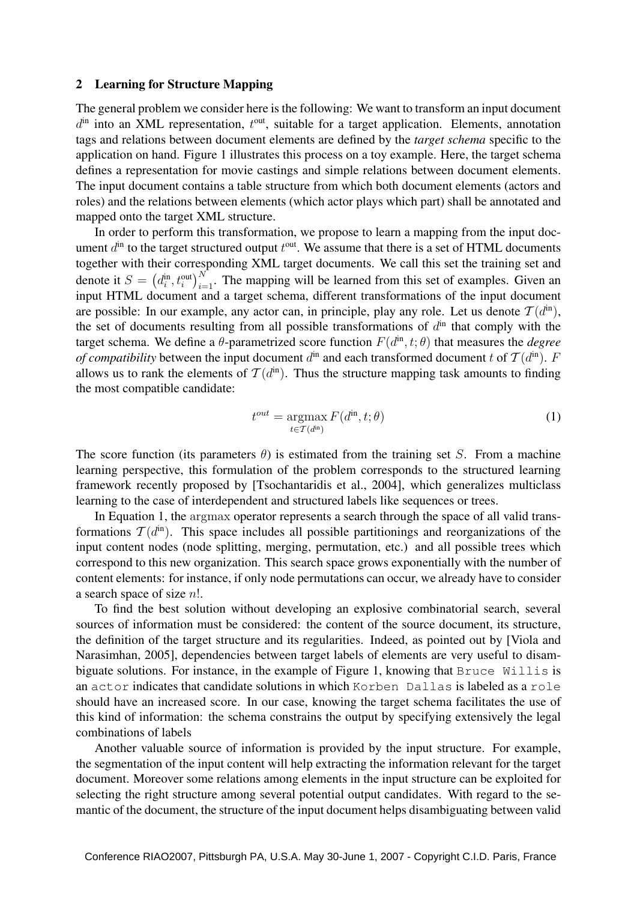#### 2 Learning for Structure Mapping

The general problem we consider here is the following: We want to transform an input document  $d<sup>in</sup>$  into an XML representation,  $t<sup>out</sup>$ , suitable for a target application. Elements, annotation tags and relations between document elements are defined by the *target schema* specific to the application on hand. Figure 1 illustrates this process on a toy example. Here, the target schema defines a representation for movie castings and simple relations between document elements. The input document contains a table structure from which both document elements (actors and roles) and the relations between elements (which actor plays which part) shall be annotated and mapped onto the target XML structure.

In order to perform this transformation, we propose to learn a mapping from the input document  $d<sup>in</sup>$  to the target structured output  $t<sup>out</sup>$ . We assume that there is a set of HTML documents together with their corresponding XML target documents. We call this set the training set and denote it  $S = (d_i^{\text{in}}, t_i^{\text{out}})_{i=1}^N$ . The mapping will be learned from this set of examples. Given an input HTML document and a target schema, different transformations of the input document are possible: In our example, any actor can, in principle, play any role. Let us denote  $T(d^{in})$ , the set of documents resulting from all possible transformations of  $d<sup>in</sup>$  that comply with the target schema. We define a  $\theta$ -parametrized score function  $F(d^{\text{in}}, t; \theta)$  that measures the *degree of compatibility* between the input document  $d^{in}$  and each transformed document t of  $T(d^{in})$ . F allows us to rank the elements of  $T(d<sup>in</sup>)$ . Thus the structure mapping task amounts to finding the most compatible candidate:

$$
t^{out} = \underset{t \in \mathcal{T}(d^{\text{in}})}{\operatorname{argmax}} F(d^{\text{in}}, t; \theta) \tag{1}
$$

The score function (its parameters  $\theta$ ) is estimated from the training set S. From a machine learning perspective, this formulation of the problem corresponds to the structured learning framework recently proposed by [Tsochantaridis et al., 2004], which generalizes multiclass learning to the case of interdependent and structured labels like sequences or trees.

In Equation 1, the argmax operator represents a search through the space of all valid transformations  $\mathcal{T}(d^{\text{in}})$ . This space includes all possible partitionings and reorganizations of the input content nodes (node splitting, merging, permutation, etc.) and all possible trees which correspond to this new organization. This search space grows exponentially with the number of content elements: for instance, if only node permutations can occur, we already have to consider a search space of size n!.

To find the best solution without developing an explosive combinatorial search, several sources of information must be considered: the content of the source document, its structure, the definition of the target structure and its regularities. Indeed, as pointed out by [Viola and Narasimhan, 2005], dependencies between target labels of elements are very useful to disambiguate solutions. For instance, in the example of Figure 1, knowing that Bruce Willis is an actor indicates that candidate solutions in which Korben Dallas is labeled as a role should have an increased score. In our case, knowing the target schema facilitates the use of this kind of information: the schema constrains the output by specifying extensively the legal combinations of labels

Another valuable source of information is provided by the input structure. For example, the segmentation of the input content will help extracting the information relevant for the target document. Moreover some relations among elements in the input structure can be exploited for selecting the right structure among several potential output candidates. With regard to the semantic of the document, the structure of the input document helps disambiguating between valid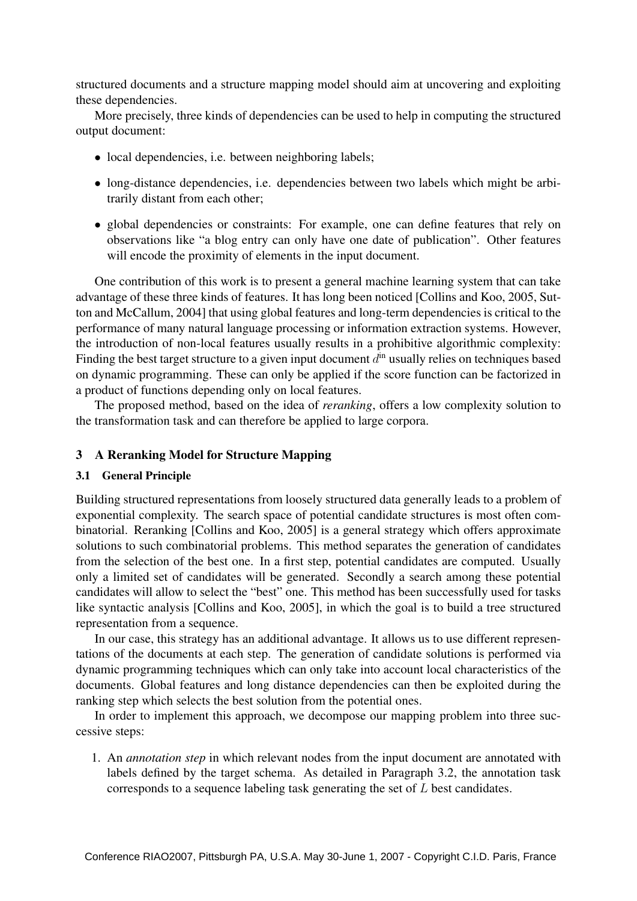structured documents and a structure mapping model should aim at uncovering and exploiting these dependencies.

More precisely, three kinds of dependencies can be used to help in computing the structured output document:

- local dependencies, i.e. between neighboring labels;
- long-distance dependencies, i.e. dependencies between two labels which might be arbitrarily distant from each other;
- global dependencies or constraints: For example, one can define features that rely on observations like "a blog entry can only have one date of publication". Other features will encode the proximity of elements in the input document.

One contribution of this work is to present a general machine learning system that can take advantage of these three kinds of features. It has long been noticed [Collins and Koo, 2005, Sutton and McCallum, 2004] that using global features and long-term dependencies is critical to the performance of many natural language processing or information extraction systems. However, the introduction of non-local features usually results in a prohibitive algorithmic complexity: Finding the best target structure to a given input document  $d<sup>in</sup>$  usually relies on techniques based on dynamic programming. These can only be applied if the score function can be factorized in a product of functions depending only on local features.

The proposed method, based on the idea of *reranking*, offers a low complexity solution to the transformation task and can therefore be applied to large corpora.

### 3 A Reranking Model for Structure Mapping

### 3.1 General Principle

Building structured representations from loosely structured data generally leads to a problem of exponential complexity. The search space of potential candidate structures is most often combinatorial. Reranking [Collins and Koo, 2005] is a general strategy which offers approximate solutions to such combinatorial problems. This method separates the generation of candidates from the selection of the best one. In a first step, potential candidates are computed. Usually only a limited set of candidates will be generated. Secondly a search among these potential candidates will allow to select the "best" one. This method has been successfully used for tasks like syntactic analysis [Collins and Koo, 2005], in which the goal is to build a tree structured representation from a sequence.

In our case, this strategy has an additional advantage. It allows us to use different representations of the documents at each step. The generation of candidate solutions is performed via dynamic programming techniques which can only take into account local characteristics of the documents. Global features and long distance dependencies can then be exploited during the ranking step which selects the best solution from the potential ones.

In order to implement this approach, we decompose our mapping problem into three successive steps:

1. An *annotation step* in which relevant nodes from the input document are annotated with labels defined by the target schema. As detailed in Paragraph 3.2, the annotation task corresponds to a sequence labeling task generating the set of L best candidates.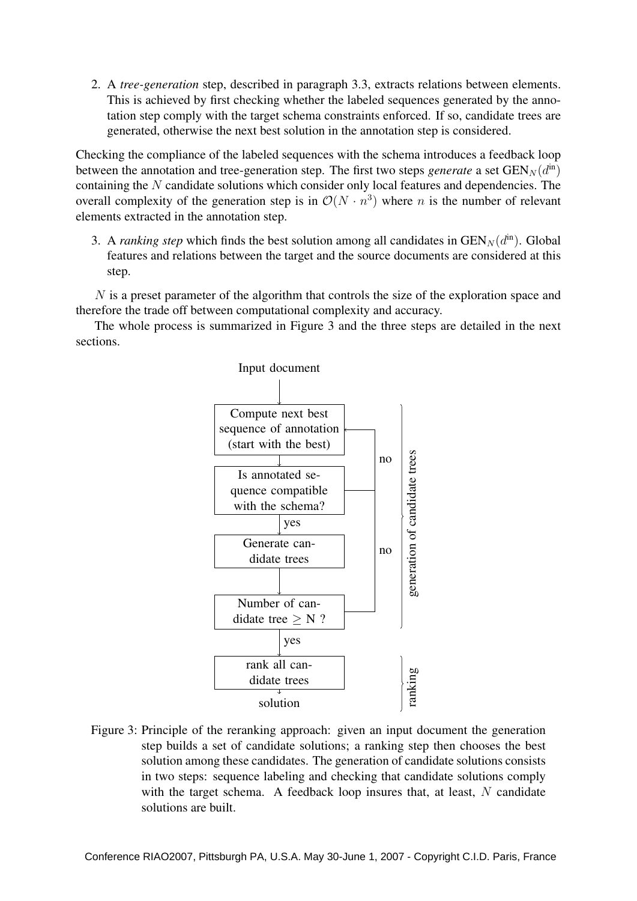2. A *tree-generation* step, described in paragraph 3.3, extracts relations between elements. This is achieved by first checking whether the labeled sequences generated by the annotation step comply with the target schema constraints enforced. If so, candidate trees are generated, otherwise the next best solution in the annotation step is considered.

Checking the compliance of the labeled sequences with the schema introduces a feedback loop between the annotation and tree-generation step. The first two steps *generate* a set  $GEN_N(d^{\text{in}})$ containing the N candidate solutions which consider only local features and dependencies. The overall complexity of the generation step is in  $\mathcal{O}(N \cdot n^3)$  where *n* is the number of relevant elements extracted in the annotation step.

3. A *ranking step* which finds the best solution among all candidates in  $GEN_N(d^{in})$ . Global features and relations between the target and the source documents are considered at this step.

N is a preset parameter of the algorithm that controls the size of the exploration space and therefore the trade off between computational complexity and accuracy.

The whole process is summarized in Figure 3 and the three steps are detailed in the next sections.



Figure 3: Principle of the reranking approach: given an input document the generation step builds a set of candidate solutions; a ranking step then chooses the best solution among these candidates. The generation of candidate solutions consists in two steps: sequence labeling and checking that candidate solutions comply with the target schema. A feedback loop insures that, at least,  $N$  candidate solutions are built.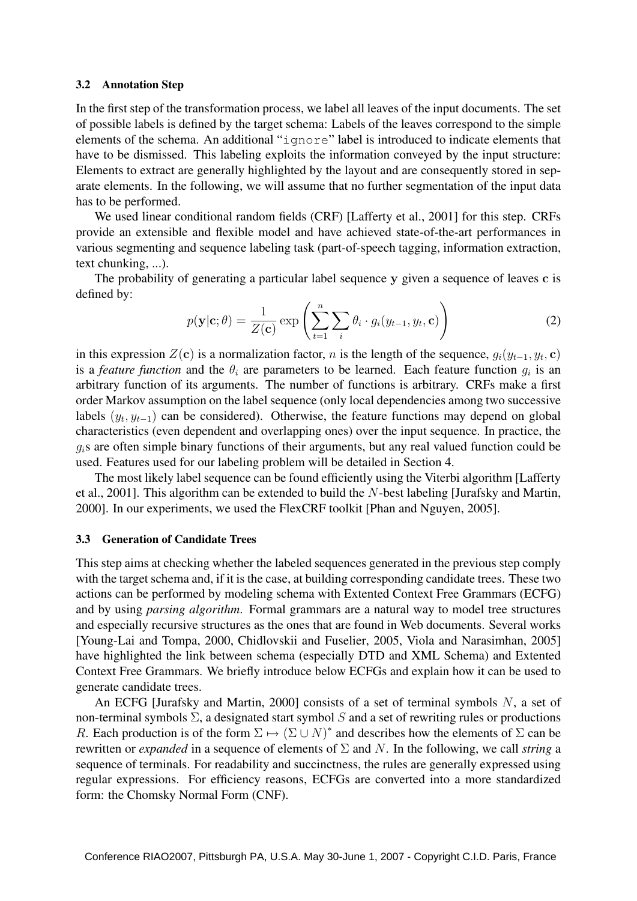#### 3.2 Annotation Step

In the first step of the transformation process, we label all leaves of the input documents. The set of possible labels is defined by the target schema: Labels of the leaves correspond to the simple elements of the schema. An additional "ignore" label is introduced to indicate elements that have to be dismissed. This labeling exploits the information conveyed by the input structure: Elements to extract are generally highlighted by the layout and are consequently stored in separate elements. In the following, we will assume that no further segmentation of the input data has to be performed.

We used linear conditional random fields (CRF) [Lafferty et al., 2001] for this step. CRFs provide an extensible and flexible model and have achieved state-of-the-art performances in various segmenting and sequence labeling task (part-of-speech tagging, information extraction, text chunking, ...).

The probability of generating a particular label sequence y given a sequence of leaves c is defined by:

$$
p(\mathbf{y}|\mathbf{c};\theta) = \frac{1}{Z(\mathbf{c})} \exp\left(\sum_{t=1}^{n} \sum_{i} \theta_i \cdot g_i(y_{t-1}, y_t, \mathbf{c})\right)
$$
(2)

in this expression  $Z(c)$  is a normalization factor, n is the length of the sequence,  $g_i(y_{t-1}, y_t, c)$ is a *feature function* and the  $\theta_i$  are parameters to be learned. Each feature function  $g_i$  is an arbitrary function of its arguments. The number of functions is arbitrary. CRFs make a first order Markov assumption on the label sequence (only local dependencies among two successive labels  $(y_t, y_{t-1})$  can be considered). Otherwise, the feature functions may depend on global characteristics (even dependent and overlapping ones) over the input sequence. In practice, the  $q_i$ s are often simple binary functions of their arguments, but any real valued function could be used. Features used for our labeling problem will be detailed in Section 4.

The most likely label sequence can be found efficiently using the Viterbi algorithm [Lafferty et al., 2001]. This algorithm can be extended to build the N-best labeling [Jurafsky and Martin, 2000]. In our experiments, we used the FlexCRF toolkit [Phan and Nguyen, 2005].

### 3.3 Generation of Candidate Trees

This step aims at checking whether the labeled sequences generated in the previous step comply with the target schema and, if it is the case, at building corresponding candidate trees. These two actions can be performed by modeling schema with Extented Context Free Grammars (ECFG) and by using *parsing algorithm*. Formal grammars are a natural way to model tree structures and especially recursive structures as the ones that are found in Web documents. Several works [Young-Lai and Tompa, 2000, Chidlovskii and Fuselier, 2005, Viola and Narasimhan, 2005] have highlighted the link between schema (especially DTD and XML Schema) and Extented Context Free Grammars. We briefly introduce below ECFGs and explain how it can be used to generate candidate trees.

An ECFG [Jurafsky and Martin, 2000] consists of a set of terminal symbols  $N$ , a set of non-terminal symbols  $\Sigma$ , a designated start symbol S and a set of rewriting rules or productions R. Each production is of the form  $\Sigma \mapsto (\Sigma \cup N)^*$  and describes how the elements of  $\Sigma$  can be rewritten or *expanded* in a sequence of elements of Σ and N. In the following, we call *string* a sequence of terminals. For readability and succinctness, the rules are generally expressed using regular expressions. For efficiency reasons, ECFGs are converted into a more standardized form: the Chomsky Normal Form (CNF).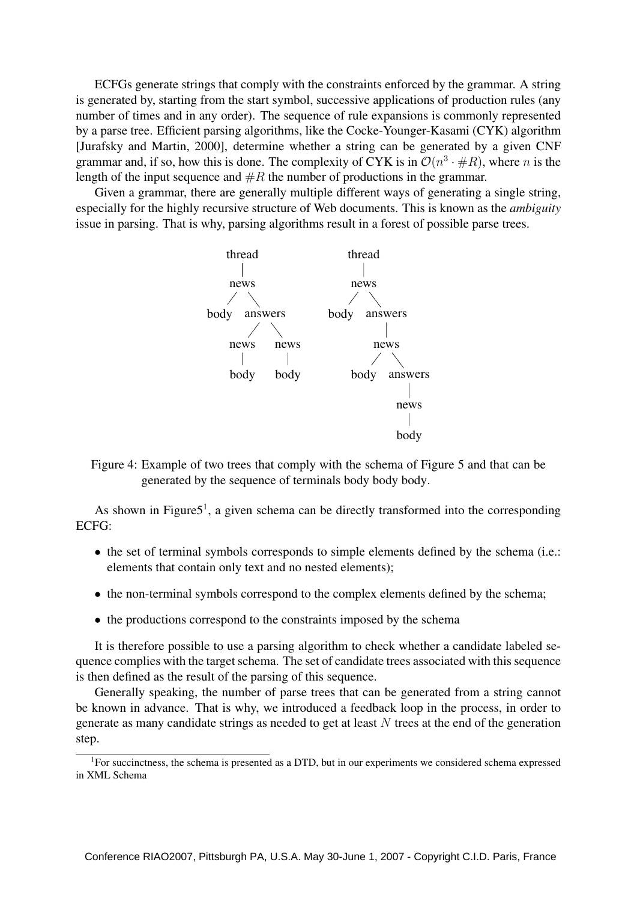ECFGs generate strings that comply with the constraints enforced by the grammar. A string is generated by, starting from the start symbol, successive applications of production rules (any number of times and in any order). The sequence of rule expansions is commonly represented by a parse tree. Efficient parsing algorithms, like the Cocke-Younger-Kasami (CYK) algorithm [Jurafsky and Martin, 2000], determine whether a string can be generated by a given CNF grammar and, if so, how this is done. The complexity of CYK is in  $\mathcal{O}(n^3 \cdot \#R)$ , where n is the length of the input sequence and  $\#R$  the number of productions in the grammar.

Given a grammar, there are generally multiple different ways of generating a single string, especially for the highly recursive structure of Web documents. This is known as the *ambiguity* issue in parsing. That is why, parsing algorithms result in a forest of possible parse trees.



Figure 4: Example of two trees that comply with the schema of Figure 5 and that can be generated by the sequence of terminals body body body.

As shown in Figure $5<sup>1</sup>$ , a given schema can be directly transformed into the corresponding ECFG:

- the set of terminal symbols corresponds to simple elements defined by the schema (i.e.: elements that contain only text and no nested elements);
- the non-terminal symbols correspond to the complex elements defined by the schema;
- the productions correspond to the constraints imposed by the schema

It is therefore possible to use a parsing algorithm to check whether a candidate labeled sequence complies with the target schema. The set of candidate trees associated with this sequence is then defined as the result of the parsing of this sequence.

Generally speaking, the number of parse trees that can be generated from a string cannot be known in advance. That is why, we introduced a feedback loop in the process, in order to generate as many candidate strings as needed to get at least  $N$  trees at the end of the generation step.

<sup>&</sup>lt;sup>1</sup>For succinctness, the schema is presented as a DTD, but in our experiments we considered schema expressed in XML Schema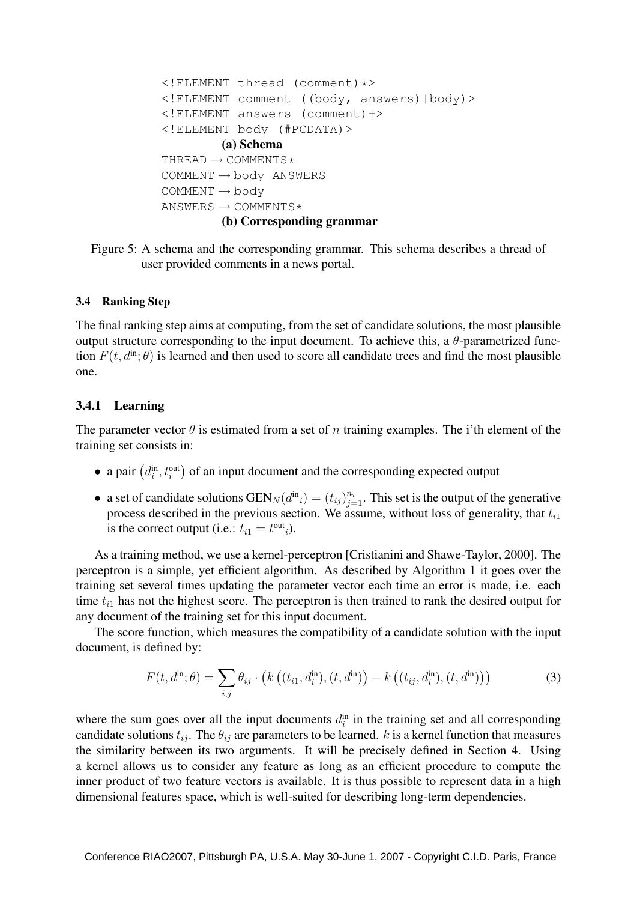```
<!ELEMENT thread (comment)*>
<!ELEMENT comment ((body, answers)|body)>
<!ELEMENT answers (comment)+>
<!ELEMENT body (#PCDATA)>
         (a) Schema
THREAD \rightarrow COMMENTS \starCOMMENT \rightarrow body ANSWERS
COMMENT \rightarrow bodyANSWERS \rightarrow COMMENTS \star(b) Corresponding grammar
```
Figure 5: A schema and the corresponding grammar. This schema describes a thread of user provided comments in a news portal.

### 3.4 Ranking Step

The final ranking step aims at computing, from the set of candidate solutions, the most plausible output structure corresponding to the input document. To achieve this, a  $\theta$ -parametrized function  $F(t, d^{\text{in}}; \theta)$  is learned and then used to score all candidate trees and find the most plausible one.

## 3.4.1 Learning

The parameter vector  $\theta$  is estimated from a set of n training examples. The i'th element of the training set consists in:

- a pair  $(d_i^{\text{in}}, t_i^{\text{out}})$  of an input document and the corresponding expected output
- a set of candidate solutions  $GEN_N(d^{in}_i) = (t_{ij})_{j=1}^{n_i}$ . This set is the output of the generative process described in the previous section. We assume, without loss of generality, that  $t_{i1}$ is the correct output (i.e.:  $t_{i1} = t^{\text{out}}_{i}$ ).

As a training method, we use a kernel-perceptron [Cristianini and Shawe-Taylor, 2000]. The perceptron is a simple, yet efficient algorithm. As described by Algorithm 1 it goes over the training set several times updating the parameter vector each time an error is made, i.e. each time  $t_{i1}$  has not the highest score. The perceptron is then trained to rank the desired output for any document of the training set for this input document.

The score function, which measures the compatibility of a candidate solution with the input document, is defined by:

$$
F(t, d^{\text{in}}; \theta) = \sum_{i,j} \theta_{ij} \cdot \left( k \left( (t_{i1}, d_i^{\text{in}}), (t, d^{\text{in}}) \right) - k \left( (t_{ij}, d_i^{\text{in}}), (t, d^{\text{in}}) \right) \right)
$$
(3)

where the sum goes over all the input documents  $d_i^{\text{in}}$  in the training set and all corresponding candidate solutions  $t_{ij}$ . The  $\theta_{ij}$  are parameters to be learned. k is a kernel function that measures the similarity between its two arguments. It will be precisely defined in Section 4. Using a kernel allows us to consider any feature as long as an efficient procedure to compute the inner product of two feature vectors is available. It is thus possible to represent data in a high dimensional features space, which is well-suited for describing long-term dependencies.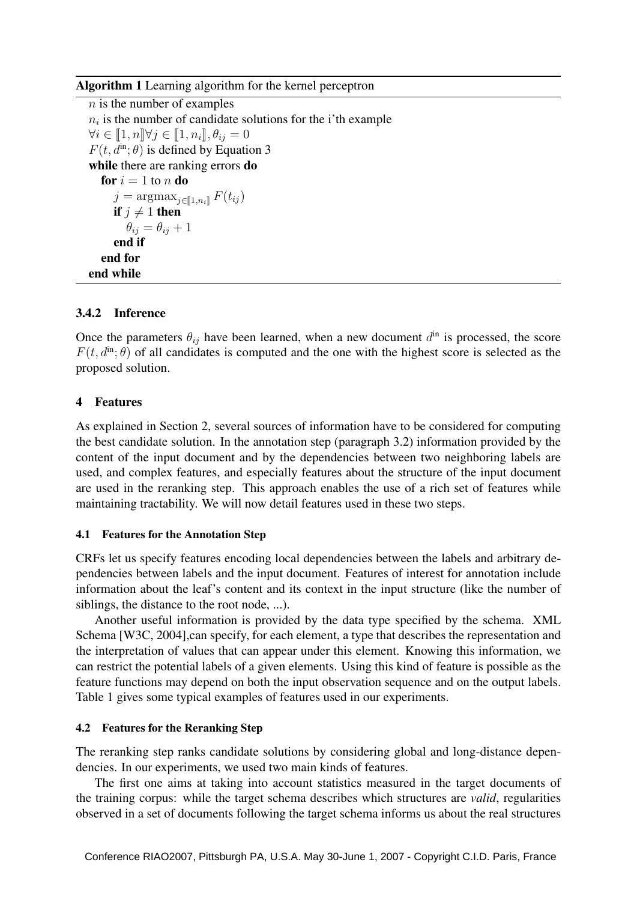Algorithm 1 Learning algorithm for the kernel perceptron

n is the number of examples  $n_i$  is the number of candidate solutions for the i'th example  $\forall i \in \llbracket 1, n \rrbracket \forall j \in \llbracket 1, n_i \rrbracket, \theta_{ij} = 0$  $F(t, d^{\text{in}}; \theta)$  is defined by Equation 3 while there are ranking errors **do** for  $i = 1$  to n do  $j = \operatorname{argmax}_{j \in [\![1,n_i]\!]} F(t_{ij})$ if  $j \neq 1$  then  $\theta_{ij} = \theta_{ij} + 1$ end if end for end while

## 3.4.2 Inference

Once the parameters  $\theta_{ij}$  have been learned, when a new document  $d^{in}$  is processed, the score  $F(t, d^{\text{in}}; \theta)$  of all candidates is computed and the one with the highest score is selected as the proposed solution.

## 4 Features

As explained in Section 2, several sources of information have to be considered for computing the best candidate solution. In the annotation step (paragraph 3.2) information provided by the content of the input document and by the dependencies between two neighboring labels are used, and complex features, and especially features about the structure of the input document are used in the reranking step. This approach enables the use of a rich set of features while maintaining tractability. We will now detail features used in these two steps.

### 4.1 Features for the Annotation Step

CRFs let us specify features encoding local dependencies between the labels and arbitrary dependencies between labels and the input document. Features of interest for annotation include information about the leaf's content and its context in the input structure (like the number of siblings, the distance to the root node, ...).

Another useful information is provided by the data type specified by the schema. XML Schema [W3C, 2004],can specify, for each element, a type that describes the representation and the interpretation of values that can appear under this element. Knowing this information, we can restrict the potential labels of a given elements. Using this kind of feature is possible as the feature functions may depend on both the input observation sequence and on the output labels. Table 1 gives some typical examples of features used in our experiments.

### 4.2 Features for the Reranking Step

The reranking step ranks candidate solutions by considering global and long-distance dependencies. In our experiments, we used two main kinds of features.

The first one aims at taking into account statistics measured in the target documents of the training corpus: while the target schema describes which structures are *valid*, regularities observed in a set of documents following the target schema informs us about the real structures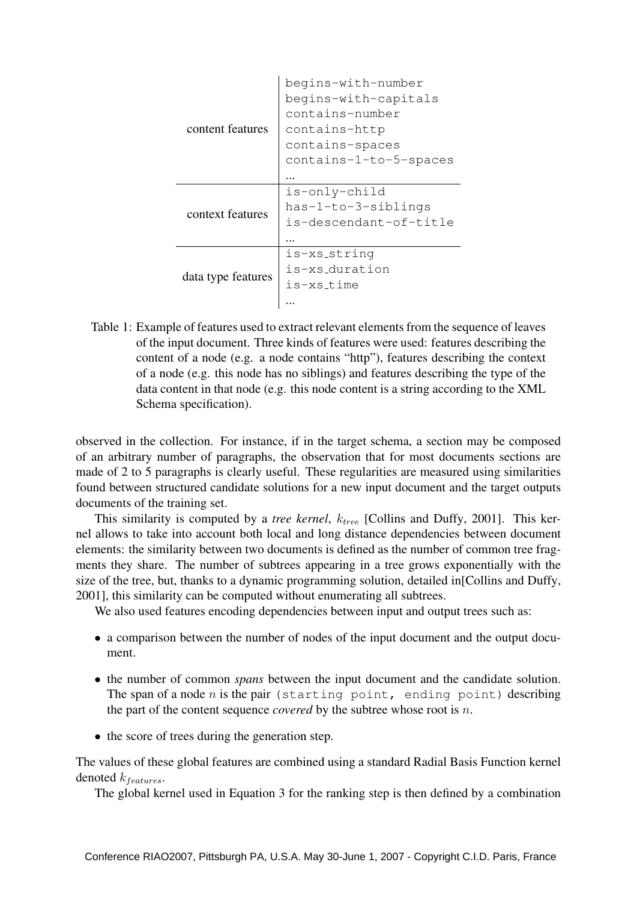|                    | begins-with-number     |  |  |  |  |
|--------------------|------------------------|--|--|--|--|
| content features   | begins-with-capitals   |  |  |  |  |
|                    | contains-number        |  |  |  |  |
|                    | contains-http          |  |  |  |  |
|                    | contains-spaces        |  |  |  |  |
|                    | contains-1-to-5-spaces |  |  |  |  |
|                    |                        |  |  |  |  |
| context features   | is-only-child          |  |  |  |  |
|                    | has-1-to-3-siblings    |  |  |  |  |
|                    | is-descendant-of-title |  |  |  |  |
|                    |                        |  |  |  |  |
| data type features | is-xs_strinq           |  |  |  |  |
|                    | is-xs_duration         |  |  |  |  |
|                    | is-xs time             |  |  |  |  |
|                    |                        |  |  |  |  |

Table 1: Example of features used to extract relevant elements from the sequence of leaves of the input document. Three kinds of features were used: features describing the content of a node (e.g. a node contains "http"), features describing the context of a node (e.g. this node has no siblings) and features describing the type of the data content in that node (e.g. this node content is a string according to the XML Schema specification).

observed in the collection. For instance, if in the target schema, a section may be composed of an arbitrary number of paragraphs, the observation that for most documents sections are made of 2 to 5 paragraphs is clearly useful. These regularities are measured using similarities found between structured candidate solutions for a new input document and the target outputs documents of the training set.

This similarity is computed by a *tree kernel*,  $k_{tree}$  [Collins and Duffy, 2001]. This kernel allows to take into account both local and long distance dependencies between document elements: the similarity between two documents is defined as the number of common tree fragments they share. The number of subtrees appearing in a tree grows exponentially with the size of the tree, but, thanks to a dynamic programming solution, detailed in[Collins and Duffy, 2001], this similarity can be computed without enumerating all subtrees.

We also used features encoding dependencies between input and output trees such as:

- a comparison between the number of nodes of the input document and the output document.
- the number of common *spans* between the input document and the candidate solution. The span of a node n is the pair (starting point, ending point) describing the part of the content sequence *covered* by the subtree whose root is n.
- the score of trees during the generation step.

The values of these global features are combined using a standard Radial Basis Function kernel denoted  $k_{features}$ .

The global kernel used in Equation 3 for the ranking step is then defined by a combination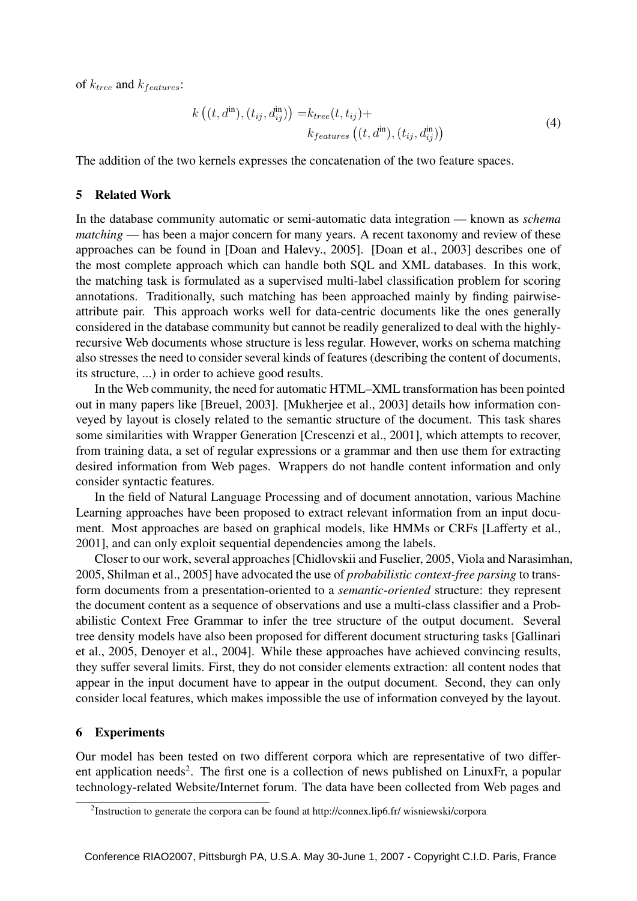of  $k_{tree}$  and  $k_{features}$ :

$$
k((t, d^{\text{in}}), (t_{ij}, d^{\text{in}}_{ij})) = k_{tree}(t, t_{ij}) +
$$
  
\n
$$
k_{features}((t, d^{\text{in}}), (t_{ij}, d^{\text{in}}_{ij}))
$$
\n
$$
(4)
$$

The addition of the two kernels expresses the concatenation of the two feature spaces.

### 5 Related Work

In the database community automatic or semi-automatic data integration — known as *schema matching* — has been a major concern for many years. A recent taxonomy and review of these approaches can be found in [Doan and Halevy., 2005]. [Doan et al., 2003] describes one of the most complete approach which can handle both SQL and XML databases. In this work, the matching task is formulated as a supervised multi-label classification problem for scoring annotations. Traditionally, such matching has been approached mainly by finding pairwiseattribute pair. This approach works well for data-centric documents like the ones generally considered in the database community but cannot be readily generalized to deal with the highlyrecursive Web documents whose structure is less regular. However, works on schema matching also stresses the need to consider several kinds of features (describing the content of documents, its structure, ...) in order to achieve good results.

In the Web community, the need for automatic HTML–XML transformation has been pointed out in many papers like [Breuel, 2003]. [Mukherjee et al., 2003] details how information conveyed by layout is closely related to the semantic structure of the document. This task shares some similarities with Wrapper Generation [Crescenzi et al., 2001], which attempts to recover, from training data, a set of regular expressions or a grammar and then use them for extracting desired information from Web pages. Wrappers do not handle content information and only consider syntactic features.

In the field of Natural Language Processing and of document annotation, various Machine Learning approaches have been proposed to extract relevant information from an input document. Most approaches are based on graphical models, like HMMs or CRFs [Lafferty et al., 2001], and can only exploit sequential dependencies among the labels.

Closer to our work, several approaches [Chidlovskii and Fuselier, 2005, Viola and Narasimhan, 2005, Shilman et al., 2005] have advocated the use of *probabilistic context-free parsing* to transform documents from a presentation-oriented to a *semantic-oriented* structure: they represent the document content as a sequence of observations and use a multi-class classifier and a Probabilistic Context Free Grammar to infer the tree structure of the output document. Several tree density models have also been proposed for different document structuring tasks [Gallinari et al., 2005, Denoyer et al., 2004]. While these approaches have achieved convincing results, they suffer several limits. First, they do not consider elements extraction: all content nodes that appear in the input document have to appear in the output document. Second, they can only consider local features, which makes impossible the use of information conveyed by the layout.

### 6 Experiments

Our model has been tested on two different corpora which are representative of two different application needs<sup>2</sup>. The first one is a collection of news published on LinuxFr, a popular technology-related Website/Internet forum. The data have been collected from Web pages and

<sup>&</sup>lt;sup>2</sup>Instruction to generate the corpora can be found at http://connex.lip6.fr/ wisniewski/corpora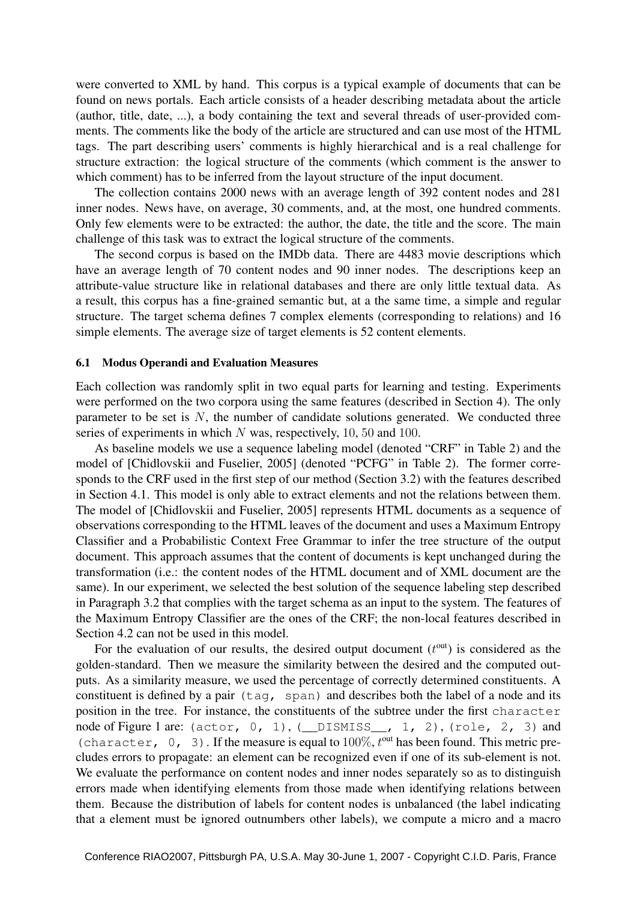were converted to XML by hand. This corpus is a typical example of documents that can be found on news portals. Each article consists of a header describing metadata about the article (author, title, date, ...), a body containing the text and several threads of user-provided comments. The comments like the body of the article are structured and can use most of the HTML tags. The part describing users' comments is highly hierarchical and is a real challenge for structure extraction: the logical structure of the comments (which comment is the answer to which comment) has to be inferred from the layout structure of the input document.

The collection contains 2000 news with an average length of 392 content nodes and 281 inner nodes. News have, on average, 30 comments, and, at the most, one hundred comments. Only few elements were to be extracted: the author, the date, the title and the score. The main challenge of this task was to extract the logical structure of the comments.

The second corpus is based on the IMDb data. There are 4483 movie descriptions which have an average length of 70 content nodes and 90 inner nodes. The descriptions keep an attribute-value structure like in relational databases and there are only little textual data. As a result, this corpus has a fine-grained semantic but, at a the same time, a simple and regular structure. The target schema defines 7 complex elements (corresponding to relations) and 16 simple elements. The average size of target elements is 52 content elements.

#### 6.1 Modus Operandi and Evaluation Measures

Each collection was randomly split in two equal parts for learning and testing. Experiments were performed on the two corpora using the same features (described in Section 4). The only parameter to be set is  $N$ , the number of candidate solutions generated. We conducted three series of experiments in which N was, respectively, 10, 50 and 100.

As baseline models we use a sequence labeling model (denoted "CRF" in Table 2) and the model of [Chidlovskii and Fuselier, 2005] (denoted "PCFG" in Table 2). The former corresponds to the CRF used in the first step of our method (Section 3.2) with the features described in Section 4.1. This model is only able to extract elements and not the relations between them. The model of [Chidlovskii and Fuselier, 2005] represents HTML documents as a sequence of observations corresponding to the HTML leaves of the document and uses a Maximum Entropy Classifier and a Probabilistic Context Free Grammar to infer the tree structure of the output document. This approach assumes that the content of documents is kept unchanged during the transformation (i.e.: the content nodes of the HTML document and of XML document are the same). In our experiment, we selected the best solution of the sequence labeling step described in Paragraph 3.2 that complies with the target schema as an input to the system. The features of the Maximum Entropy Classifier are the ones of the CRF; the non-local features described in Section 4.2 can not be used in this model.

For the evaluation of our results, the desired output document  $(t<sup>out</sup>)$  is considered as the golden-standard. Then we measure the similarity between the desired and the computed outputs. As a similarity measure, we used the percentage of correctly determined constituents. A constituent is defined by a pair (tag, span) and describes both the label of a node and its position in the tree. For instance, the constituents of the subtree under the first character node of Figure 1 are: (actor, 0, 1), (\_\_DISMISS\_\_, 1, 2), (role, 2, 3) and (character,  $0$ , 3). If the measure is equal to  $100\%$ ,  $t<sup>out</sup>$  has been found. This metric precludes errors to propagate: an element can be recognized even if one of its sub-element is not. We evaluate the performance on content nodes and inner nodes separately so as to distinguish errors made when identifying elements from those made when identifying relations between them. Because the distribution of labels for content nodes is unbalanced (the label indicating that a element must be ignored outnumbers other labels), we compute a micro and a macro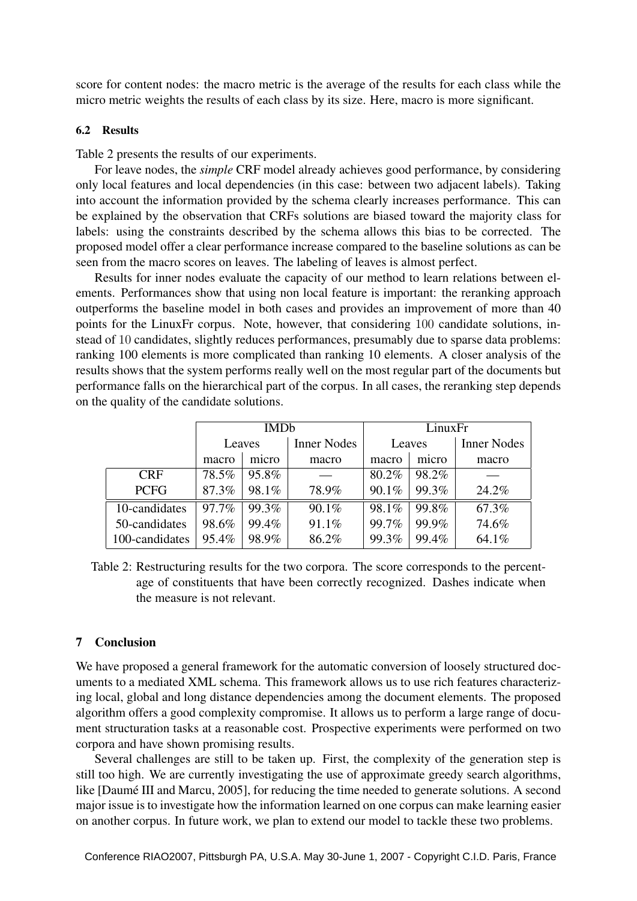score for content nodes: the macro metric is the average of the results for each class while the micro metric weights the results of each class by its size. Here, macro is more significant.

### 6.2 Results

Table 2 presents the results of our experiments.

For leave nodes, the *simple* CRF model already achieves good performance, by considering only local features and local dependencies (in this case: between two adjacent labels). Taking into account the information provided by the schema clearly increases performance. This can be explained by the observation that CRFs solutions are biased toward the majority class for labels: using the constraints described by the schema allows this bias to be corrected. The proposed model offer a clear performance increase compared to the baseline solutions as can be seen from the macro scores on leaves. The labeling of leaves is almost perfect.

Results for inner nodes evaluate the capacity of our method to learn relations between elements. Performances show that using non local feature is important: the reranking approach outperforms the baseline model in both cases and provides an improvement of more than 40 points for the LinuxFr corpus. Note, however, that considering 100 candidate solutions, instead of 10 candidates, slightly reduces performances, presumably due to sparse data problems: ranking 100 elements is more complicated than ranking 10 elements. A closer analysis of the results shows that the system performs really well on the most regular part of the documents but performance falls on the hierarchical part of the corpus. In all cases, the reranking step depends on the quality of the candidate solutions.

|                | <b>IMDb</b> |       |                    | LinuxFr |       |                    |
|----------------|-------------|-------|--------------------|---------|-------|--------------------|
|                | Leaves      |       | <b>Inner Nodes</b> | Leaves  |       | <b>Inner Nodes</b> |
|                | macro       | micro | macro              | macro   | micro | macro              |
| <b>CRF</b>     | 78.5%       | 95.8% |                    | 80.2%   | 98.2% |                    |
| <b>PCFG</b>    | 87.3%       | 98.1% | 78.9%              | 90.1%   | 99.3% | 24.2%              |
| 10-candidates  | 97.7%       | 99.3% | 90.1%              | 98.1%   | 99.8% | 67.3%              |
| 50-candidates  | 98.6%       | 99.4% | 91.1%              | 99.7%   | 99.9% | 74.6%              |
| 100-candidates | 95.4%       | 98.9% | 86.2%              | 99.3%   | 99.4% | 64.1%              |

Table 2: Restructuring results for the two corpora. The score corresponds to the percentage of constituents that have been correctly recognized. Dashes indicate when the measure is not relevant.

### 7 Conclusion

We have proposed a general framework for the automatic conversion of loosely structured documents to a mediated XML schema. This framework allows us to use rich features characterizing local, global and long distance dependencies among the document elements. The proposed algorithm offers a good complexity compromise. It allows us to perform a large range of document structuration tasks at a reasonable cost. Prospective experiments were performed on two corpora and have shown promising results.

Several challenges are still to be taken up. First, the complexity of the generation step is still too high. We are currently investigating the use of approximate greedy search algorithms, like [Daumé III and Marcu, 2005], for reducing the time needed to generate solutions. A second major issue is to investigate how the information learned on one corpus can make learning easier on another corpus. In future work, we plan to extend our model to tackle these two problems.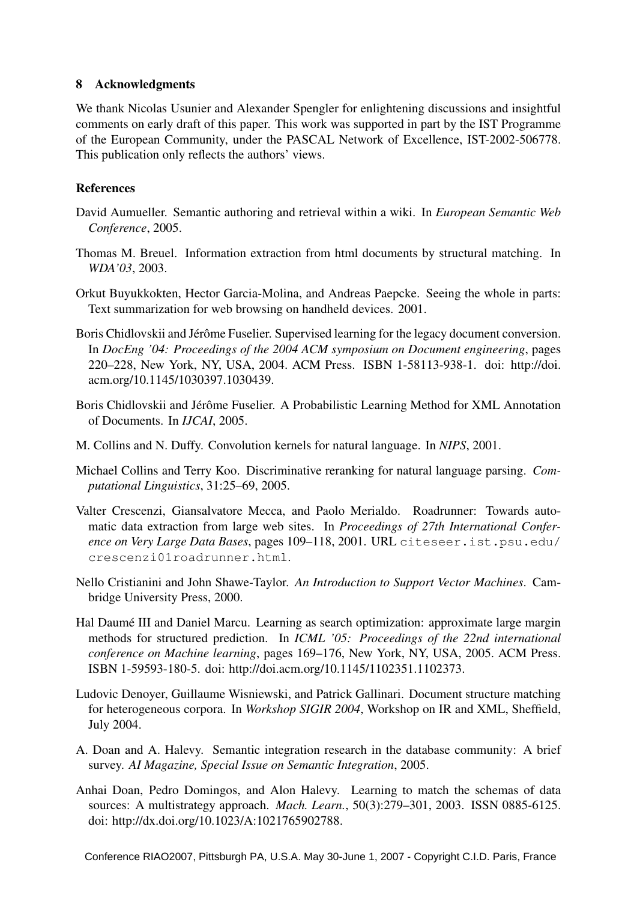## 8 Acknowledgments

We thank Nicolas Usunier and Alexander Spengler for enlightening discussions and insightful comments on early draft of this paper. This work was supported in part by the IST Programme of the European Community, under the PASCAL Network of Excellence, IST-2002-506778. This publication only reflects the authors' views.

# References

- David Aumueller. Semantic authoring and retrieval within a wiki. In *European Semantic Web Conference*, 2005.
- Thomas M. Breuel. Information extraction from html documents by structural matching. In *WDA'03*, 2003.
- Orkut Buyukkokten, Hector Garcia-Molina, and Andreas Paepcke. Seeing the whole in parts: Text summarization for web browsing on handheld devices. 2001.
- Boris Chidlovskii and Jérôme Fuselier. Supervised learning for the legacy document conversion. In *DocEng '04: Proceedings of the 2004 ACM symposium on Document engineering*, pages 220–228, New York, NY, USA, 2004. ACM Press. ISBN 1-58113-938-1. doi: http://doi. acm.org/10.1145/1030397.1030439.
- Boris Chidlovskii and Jérôme Fuselier. A Probabilistic Learning Method for XML Annotation of Documents. In *IJCAI*, 2005.
- M. Collins and N. Duffy. Convolution kernels for natural language. In *NIPS*, 2001.
- Michael Collins and Terry Koo. Discriminative reranking for natural language parsing. *Computational Linguistics*, 31:25–69, 2005.
- Valter Crescenzi, Giansalvatore Mecca, and Paolo Merialdo. Roadrunner: Towards automatic data extraction from large web sites. In *Proceedings of 27th International Conference on Very Large Data Bases*, pages 109–118, 2001. URL citeseer.ist.psu.edu/ crescenzi01roadrunner.html.
- Nello Cristianini and John Shawe-Taylor. *An Introduction to Support Vector Machines*. Cambridge University Press, 2000.
- Hal Daumé III and Daniel Marcu. Learning as search optimization: approximate large margin methods for structured prediction. In *ICML '05: Proceedings of the 22nd international conference on Machine learning*, pages 169–176, New York, NY, USA, 2005. ACM Press. ISBN 1-59593-180-5. doi: http://doi.acm.org/10.1145/1102351.1102373.
- Ludovic Denoyer, Guillaume Wisniewski, and Patrick Gallinari. Document structure matching for heterogeneous corpora. In *Workshop SIGIR 2004*, Workshop on IR and XML, Sheffield, July 2004.
- A. Doan and A. Halevy. Semantic integration research in the database community: A brief survey. *AI Magazine, Special Issue on Semantic Integration*, 2005.
- Anhai Doan, Pedro Domingos, and Alon Halevy. Learning to match the schemas of data sources: A multistrategy approach. *Mach. Learn.*, 50(3):279–301, 2003. ISSN 0885-6125. doi: http://dx.doi.org/10.1023/A:1021765902788.